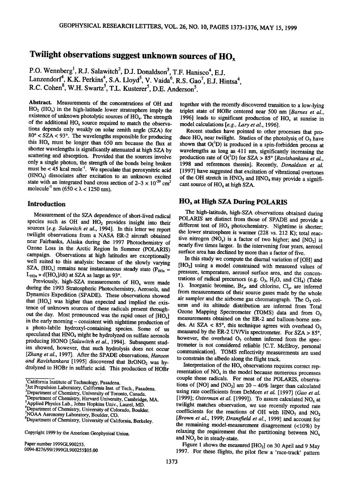# **Twilight observations suggest unknown sources of HOx**

P.O. Wennberg<sup>1</sup>, R.J. Salawitch<sup>2</sup>, D.J. Donaldson<sup>3</sup>, T.F. Hanisco<sup>4</sup>, E.J. Lanzendorf<sup>4</sup>, K.K. Perkins<sup>4</sup>, S.A. Lloyd<sup>5</sup>, V. Vaida<sup>6</sup>, R.S. Gao<sup>7</sup>, E.J. Hintsa<sup>4</sup>, R.C. Cohen<sup>8</sup>, W.H. Swartz<sup>5</sup>, T.L. Kusterer<sup>5</sup>, D.E. Anderson<sup>5</sup>.

Abstract. Measurements of the concentrations of OH and **HO2 (HOx) in the high-latitude lower stratosphere imply the**  existence of unknown photolytic sources of HO<sub>x</sub>. The strength of the additional HO<sub>x</sub> source required to match the observa**tions depends only weakly on solar zenith angle (SZA) for 80 ø < SZA < 93 ø. The wavelengths responsible for producing**  this  $HO_x$  must be longer than 650 nm because the flux at **shorter wavelengths is significantly attenuated at high SZA by scattering and absorption. Provided that the sources involve**  only a single photon, the strength of the bonds being broken must be < 45 kcal mole<sup>-1</sup>. We speculate that peroxynitric acid **(HNO4) dissociates after excitation to an unknown excited**  state with an integrated band cross section of  $2-3 \times 10^{-20}$  cm<sup>2</sup> molecule<sup>-1</sup> nm (650 <  $\lambda$  < 1250 nm).

Measurement of the SZA dependence of short-lived radical species such as OH and HO<sub>2</sub> provides insight into their sources [e.g. Salawitch et al., 1994]. In this letter we report **twilight observations from a NASA ER-2 aircraft obtained near Fairbanks, Alaska during the 1997 Photochemistry of Ozone Loss in the Arctic Region In Summer (POLARIS) campaign. Observations at high latitudes are exceptionally well suited to this analysis: because of the slowly varying**  SZA,  $[HO_x]$  remains near instantaneous steady state ( $P_{HOx} \approx$ L<sub>HOx</sub> » d[HO<sub>x</sub>]/dt) at SZA as large as 93°.

Previously, high-SZA measurements of  $HO_x$  were made **during the 1993 Stratospheric Photochemistry, Aerosols, and Dynamics Expedition (SPADE). These observations showed**  that [HO<sub>x</sub>] was higher than expected and implied the exis**tence of unknown sources of these radicals present through**out the day. Most pronounced was the rapid onset of  $[HO_x]$ **in the early morning - consistent wih nighttime production of a photo-labile hydroxyl-containing species. Some of us speculated that HNO4 might be hydrolyzed on sulfate aerosols producing HONO [Salawitch et al., 1994]. Subsequent studies showed, however, that such hydrolysis does not occur [Zhang et al., 1997]. After the SPADE observations, Hanson**  and Ravishankara [1995] discovered that BrONO<sub>2</sub> was hy**drolyzed to HOBr in sulfuric acid. This production of HOBr** 

**2jet Propulsion Laboratory, California Inst. of Tech., Pasadena.** 

**3Department of Chemistry, University of Toronto, Canada.** 

<sup>5</sup> Department of Chemistry, Harvard University, Cambridge, MA.<br><sup>5</sup> Applied Physics Lab., Johns Hopkins Univ., Laurel, MD. <sup>6</sup>Department of Chemistry, University of Colorado, Boulder.

**8Department of Chemistry, University of California, Berkeley.** 

**Copyright 1999 by the American Geophysical Union.** 

**Paper number 1999GL900255. 0094-8276/99/1999GL900255505. O0**  together with the recently discovered transition to a low-lying **triplet state of HOBr centered near 500 nm [Barnes et al.,**  1996] leads to significant production of HO<sub>x</sub> at sunrise in **model calculations [e.g., Lary et al., 1996].** 

**Recent studies have pointed to other processes that pro**duce HO<sub>x</sub> near twilight. Studies of the photolysis of O<sub>3</sub> have shown that  $O(^1D)$  is produced in a spin-forbidden process at **wavelengths as long as 411 nm, significantly increasing the**  production rate of O(<sup>1</sup>D) for SZA > 85° [Ravishankara et al., **1998 and references therein]. Recently, Donaldson et al. [ 1997] have suggested that excitation of vibrational overtones**  of the OH stretch in HNO<sub>3</sub> and HNO<sub>4</sub> may provide a significant source of  $HO_x$  at high SZA.

## **Introduction HO<sub>x</sub>** at High SZA During POLARIS

The high-latitude, high-SZA observations obtained during **POLARIS are distinct from those of SPADE and provide a**  different test of HO<sub>x</sub> photochemistry. Nighttime is shorter; **the lower stratosphere is warmer (228 vs. 212 K); total reac**tive nitrogen (NO<sub>v</sub>) is a factor of two higher; and  $[NO<sub>2</sub>]$  is **nearly five times larger. In the intervening four years, aerosol surface area has declined by more than a factor of five.** 

In this study we compute the diurnal variation of [OH] and **[HO:] using a model constrained with measured values of pressure, temperature, aerosol surface area, and the concentrations of radical precursors (e.g. 03, H20, and CH4) (Table 1). Inorganic bromine, Bry, and chlorine, Cly, are inferred from measurements of their source gases made by the whole**  air sampler and the airborne gas chromatograph. The O<sub>3</sub> col**umn and its altitude distribution are inferred from Total**  Ozone Mapping Spectrometer (TOMS) data and from O<sub>3</sub> **measurements obtained on the ER-2 and balloon-borne son**des. At SZA <  $85^\circ$ , this technique agrees with overhead  $O_3$ measured by the ER-2 UV/Vis spectrometer. For SZA > 85°, however, the overhead O<sub>3</sub> column inferred from the spectrometer is not considered reliable [C.T. McElroy, personal **communication]. TOMS reflectivity measurements are used to constrain the albedo along the flight track.** 

Interpretation of the HO<sub>x</sub> observations requires correct representation of  $NO<sub>x</sub>$  in the model because numerous processes **couple these radicals. For most of the POLARIS, observa**tions of  $[NO]$  and  $[NO<sub>2</sub>]$  are  $20 - 40\%$  larger than calculated using rate coefficients from DeMore et al. [1997] (Gao et al. [1999]; Osterman et al. [1999]). To assure calculated NO<sub>x</sub> at **twilight matches observation, we use recently reported rate**  coefficients for the reactions of OH with  $HNO<sub>3</sub>$  and  $NO<sub>2</sub>$ **[Brown et al., 1999; Dransfield et al., 1999] and account for the remaining model-measurement disagreement (<10%) by relaxing the requirement that the partitioning between NOx and NOy be in steady-state.** 

**Figure 1 shows the measured [HO2] on 30 April and 9 May 1997. For these flights, the pilot flew a 'race-track' pattern** 

**<sup>•</sup>California Institute of Technology, Pasadena.** 

**<sup>7</sup>NOAA Aeronomy Laboratory, Boulder, CO.**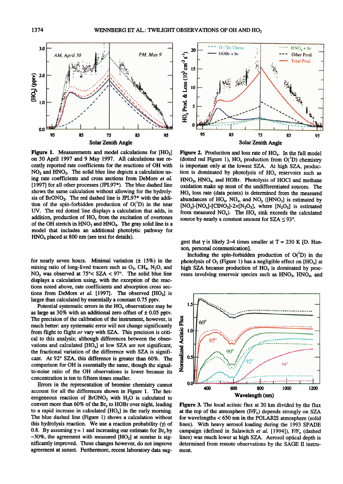

Figure 1. Measurements and model calculations for [HO<sub>2</sub>] on 30 April 1997 and 9 May 1997. All calculations use recently reported rate coefficients for the reactions of OH with  $NO<sub>2</sub>$  and  $HNO<sub>3</sub>$ . The solid blue line depicts a calculation using rate coefficients and cross sections from DeMore et al. [1997] for all other processes (JPL97\*). The blue dashed line shows the same calculation without allowing for the hydrolysis of BrONO<sub>2</sub>. The red dashed line is JPL97\* with the addition of the spin-forbidden production of  $O(^1D)$  in the near UV. The red dotted line displays a calculation that adds, in addition, production of  $HO_x$  from the excitation of overtones of the OH stretch in HNO<sub>3</sub> and HNO<sub>4</sub>. The gray solid line is a model that includes an additional photolytic pathway for HNO<sub>4</sub> placed at 800 nm (see text for details).

for nearly seven hours. Minimal variation  $(± 15%)$  in the mixing ratio of long-lived tracers such as  $O_3$ , CH<sub>4</sub>, N<sub>2</sub>O, and NO<sub>y</sub> was observed at  $75^{\circ}$ < SZA < 97°. The solid blue line displays a calculation using, with the exception of the reactions noted above, rate coefficients and absorption cross sections from DeMore et al. [1997]. The observed  $[HO<sub>2</sub>]$  is larger than calculated by essentially a constant 0.75 pptv.

Potential systematic errors in the  $HO<sub>x</sub>$  observations may be as large as 30% with an additional zero offset of  $\pm$  0.05 pptv. The precision of the calibration of the instrument, however, is much better: any systematic error will not change significantly from flight to flight or vary with SZA. This precision is critical to this analysis; although differences between the observations and calculated  $[HO_x]$  at low SZA are not significant, the fractional variation of the difference with SZA is significant. At 92° SZA, this difference is greater than 60%. The comparison for OH is essentially the same, though the signalto-noise ratio of the OH observations is lower because its concentration is ten to fifteen times smaller.

Errors in the representation of bromine chemistry cannot account for all the differences shown in Figure 1. The heterogeneous reaction of  $BrONO<sub>2</sub>$  with  $H<sub>2</sub>O$  is calculated to convert more than 60% of the Br<sub>y</sub> to HOBr over night, leading to a rapid increase in calculated  $[HO_x]$  in the early morning. The blue dashed line (Figure 1) shows a calculation without this hydrolysis reaction. We use a reaction probability  $(y)$  of 0.8. By assuming  $\gamma = 1$  and increasing our estimate for Br<sub>v</sub> by ~30%, the agreement with measured  $[HO<sub>2</sub>]$  at sunrise is significantly improved. These changes however, do not improve agreement at sunset. Furthermore, recent laboratory data sug-



Figure 2. Production and loss rate of HO<sub>1</sub>. In the full model (dotted red Figure 1),  $HO_x$  production from  $O(^1D)$  chemistry is important only at the lowest SZA. At high SZA, production is dominated by photolysis of  $HO_x$  reservoirs such as HNO<sub>3</sub>, HNO<sub>4</sub>, and HOBr. Photolysis of HOCl and methane oxidation make up most of the undifferentiated sources. The HO<sub>x</sub> loss rate (data points) is determined from the measured abundances of  $HO_x$ ,  $NO_x$ , and  $NO_y$  ([HNO<sub>3</sub>] is estimated by [NO<sub>y</sub>]-[NO<sub>x</sub>]-[ClNO<sub>3</sub>]-2×[N<sub>2</sub>O<sub>5</sub>], where [N<sub>2</sub>O<sub>5</sub>] is estimated from measured  $NO_x$ ). The  $HO_x$  sink exceeds the calculated source by nearly a constant amount for  $SZA \leq 93^{\circ}$ .

gest that  $\gamma$  is likely 2-4 times smaller at T = 230 K [D. Hanson, personal communication].

Including the spin-forbidden production of  $O(^1D)$  in the photolysis of  $O_3$  (Figure 1) has a negligible effect on  $[HO<sub>x</sub>]$  at high SZA because production of HO<sub>x</sub> is dominated by processes involving reservoir species such as  $HNO<sub>3</sub>$ ,  $HNO<sub>4</sub>$ , and



Figure 3. The local actinic flux at 20 km divided by the flux at the top of the atmosphere  $(F/F_0)$  depends strongly on SZA for wavelengths  $< 650$  nm in the POLARIS atmosphere (solid lines). With heavy aerosol loading during the 1993 SPADE campaign (defined in Salawitch et al. [1994]), F/F, (dashed lines) was much lower at high SZA. Aerosol optical depth is determined from remote observations by the SAGE II instrument.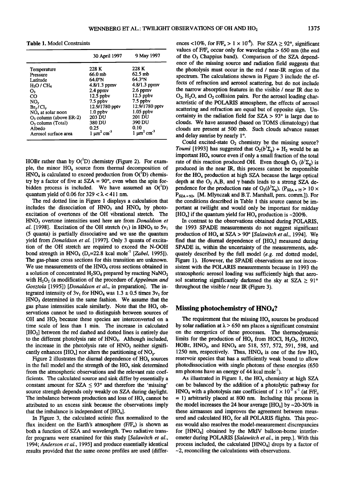**Table 1. Model Constraints** 

|                                    | 30 April 1997                | 9 May 1997                   |
|------------------------------------|------------------------------|------------------------------|
| Temperature                        | 228 K                        | 228 K                        |
| Pressure                           | 66.0 mb                      | $62.5$ mb                    |
| Latitude                           | $64.0^{\circ}$ N             | $64.3^\circ N$               |
| H <sub>2</sub> O / CH <sub>4</sub> | $4.8/1.3$ ppmv               | $4.8/1.3$ ppmv               |
| O,                                 | 2.4 ppmy                     | $2.6$ ppmv                   |
| CO                                 | $12.5$ ppbv                  | $12.5$ ppbv                  |
| NO.                                | 7.5 ppbv                     | $7.5$ ppby                   |
| $Br_v/Cl_v$                        | 12.9/1780 pptv               | 12.9/1780 pptv               |
| NO <sub>x</sub> at solar noon      | $1.0$ ppby                   | $1.05$ ppbv                  |
| $O_3$ column (above ER-2)          | 203 DU                       | 201 DU                       |
| $O3$ column (Total)                | 380 DU                       | 390 DU                       |
| Albedo                             | 0.25                         | 0.10                         |
| Aerosol surface area               | $1 \mu m^2$ cm <sup>-3</sup> | $1 \mu m^2$ cm <sup>-3</sup> |
|                                    |                              |                              |

**HOBr rather than by O(<sup>1</sup>D) chemistry (Figure 2). For exam**ple, the minor HO<sub>x</sub> source from thermal decomposition of  $HNO<sub>4</sub>$  is calculated to exceed production from  $O(^1D)$  chemistry by a factor of five at  $SZA = 90^\circ$ , even when the spin forbidden process is included. We have assumed an O(<sup>1</sup>D) quantum yield of 0.06 for  $329 < \lambda < 411$  nm.

**The red dotted line in Figure 1 displays a calculation that**  includes the dissociation of HNO<sub>3</sub> and HNO<sub>4</sub> by photo**excitation of overtones of the OH vibrational stretch. The HNO3 overtone intensities used here are from Donaldson et**  al. [1998]. Excitation of the OH stretch  $(v_1)$  in HNO<sub>3</sub> to  $5v_1$ **(5 quanta) is partially dissociative and we use the quantum yield from Donaldson et al. [ 1997]. Only 3 quanta of excitation of the OH stretch are required to exceed the N-OOH**  bond strength in  $HNO<sub>4</sub>$  (D<sub>o</sub>=22.8 kcal mole<sup>-1</sup> [*Zabel*, 1995]). **The gas-phase cross sections for this transition are unknown.**  We use measurements of the HNO<sub>4</sub> cross sections obtained in a solution of concentrated H<sub>2</sub>SO<sub>4</sub> prepared by reacting NaNO<sub>2</sub> with H<sub>2</sub>O<sub>2</sub> (a modification of the procedure of *Appelman and* **Gosztola [1995]) [Donaldson et al., in preparation]. The integrated intensity of 3v**<sub>1</sub> for HNO<sub>4</sub> was  $1.3 \pm 0.5$  times 3v<sub>1</sub> for **HNO3 determined in the same fashion. We assume that the**  gas phase intensities scale similarly. Note that the HO<sub>x</sub> ob**servations cannot be used to distinguish between sources of OH and HO2 because these species are interconverted on a time scale of less than 1 min. The increase in calculated [HO2] between the red dashed and dotted lines is entirely due to the different photolysis rate of HNO4. Although included,**  the increase in the photolysis rate of HNO<sub>3</sub> neither significantly enhances [HO<sub>x</sub>] nor alters the partitioning of NO<sub>y</sub>.

Figure 2 illustrates the diurnal dependence of  $HO_x$  sources in the full model and the strength of the  $HO_x$  sink determined **from the atmospheric observations and the relevant rate coefficients. The calculated source and sink differ by essentially a** constant amount for  $SZA \leq 93^{\circ}$  and therefore the 'missing' **source strength depends only weakly on SZA during daylight.**  The imbalance between production and loss of  $HO_x$  cannot be **attributed to an excess sink because the observations imply**  that the imbalance is independent of  $[HO_x]$ .

**In Figure 3, the calculated actinic flux normalized to the**  flux incident on the Earth's atmosphere (F/F<sub>o</sub>) is shown as **both a function of SZA and wavelength. Two radiative transfer programs were examined for this study [Salawitch et al., 1994; Anderson et al., 1995] and produce essentially identical results provided that the same ozone profiles are used (differ-**

ences <10%, for  $F/F_0 > 1 \times 10^{-8}$ ). For SZA  $\geq 92^{\circ}$ , significant values of  $F/F_0$  occur only for wavelengths  $> 650$  nm (the end **of the 03 Chappius band). Comparison of the SZA dependence of the missing source and radiation field suggests that the photolysis must occur in the red / near-IR region of the**  spectrum. The calculations shown in Figure 3 include the ef**fects of refraction and aerosol scattering, but do not include the narrow absorption features in the visible / near IR due to 02, H20, and O2 collision pairs. For the aerosol loading characteristic of the POLARIS atmosphere, the effects of aerosol scattering and refraction are equal but of opposite sign. Un**certainty in the radiation field for  $SZA > 93^\circ$  is large due to **clouds. We have assumed (based on TOMS climatology) that clouds are present at 500 mb. Such clouds advance sunset**  and delay sunrise by nearly 1°.

Could excited-state O<sub>2</sub> chemistry be the missing source? Toumi [1993] has suggested that  $O_2(b^1\Sigma_g) + H_2$  would be an **important HOx source even if only a small fraction of the total**  rate of this reaction produced OH. Even though  $O_2$  ( $b^1\Sigma_e$ ) is **produced in the near IR, this process cannot be responsible**  for the HO<sub>x</sub> production at high SZA because the large optical depth at the  $O_2$  A,B, and  $\gamma$  bands leads to a strong SZA dependence for the production rate of  $O_2(b^2\Sigma_g)$ . (P<sub>SZA = 75</sub> > 10  $\times$ **PszA=92, [M. Mlynczak and B.T. Marshall, pets. comm.]). For the conditions described in Table 1 this source cannot be important at twilight and would only be important for midday**   $[HO_x]$  if the quantum yield for  $HO_x$  production is ~200%.

In contrast to the observations obtained during POLARIS, **the 1993 SPADE measurements do not suggest significant**  production of  $HO_x$  at  $SZA > 90^\circ$  [*Salawitch et al.*, 1994]. We find that the diurnal dependence of [HO<sub>x</sub>] measured during **SPADE is, within the uncertainty of the measurements, adequately described by the full model (e.g. red dotted model, Figure 1). However, the SPADE observations are not inconsistent with the POLARIS measurements because in 1993 the**  stratospheric aerosol loading was sufficiently high that aerosol scattering significantly darkened the sky at  $SZA \geq 91^{\circ}$ **throughout the visible / near IR (Figure 3).** 

### **Missing photochemistry of HNO47**

The requirement that the missing HO<sub>x</sub> sources be produced by solar radiation at  $\lambda > 650$  nm places a significant constraint **on the energetics of these processes. The thermodynamic**  limits for the production of HO<sub>x</sub> from HOCl, H<sub>2</sub>O<sub>2</sub>, HONO, **HOBr, HNO3, and HNO4 are 518, 557, 572, 591, 598, and 1250 nm, respectively. Thus, HNO4 is one of the few HOx reservoir species that has a sufficiently weak bound to allow photodissociation with single photons of these energies (650**  nm photons have an energy of 44 kcal mole<sup>-1</sup>).

As illustrated in Figure 1, the  $HO<sub>x</sub>$  chemistry at high SZA **can be balanced by the addition of a photolytic pathway for HNO<sub>4</sub>** with a photolysis rate coefficient of  $1 \times 10^{-5}$  s<sup>-1</sup> (at F/F<sub>o</sub> **= 1) arbitrarily placed at 800 nm. Including this process in**  the model increases the 24 hour average  $[HO_x]$  by  $\sim$  20-30% in **these airmasses and improves the agreement between meas**ured and calculated HO<sub>x</sub> for all POLARIS flights. This proc**ess would also resolves the model-measurement discrepancies for [HNO4] obtained by the MkIV balloon-borne interferometer during POLARIS [Salawitch et al., in prep.]. With this process included, the calculated [HNO4] drops by a factor of -2, reconciling the calculations with observations.**